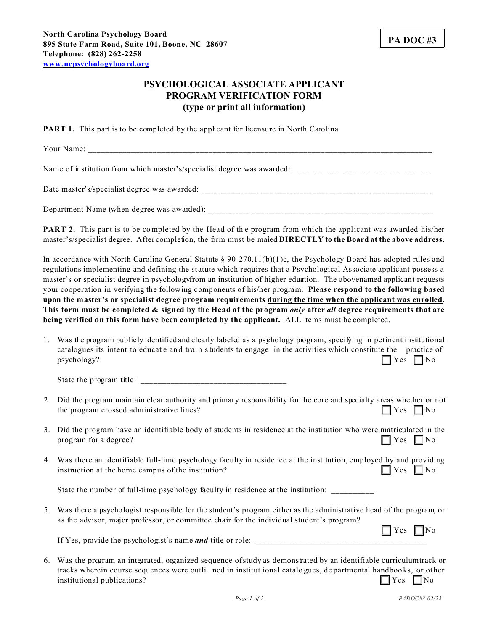## **PSYCHOLOGICAL ASSOCIATE APPLICANT PROGRAM VERIFICATION FORM (type or print all information)**

**PART 1.** This part is to be completed by the applicant for licensure in North Carolina.

Your Name:

Name of institution from which master's/specialist degree was awarded:

Date master's/specialist degree was awarded:

Department Name (when degree was awarded): \_\_\_\_\_\_\_\_\_\_\_\_\_\_\_\_\_\_\_\_\_\_\_\_\_\_\_\_\_\_\_\_\_\_\_\_\_\_\_\_\_\_\_\_\_\_\_\_\_\_\_\_

**PART 2.** This part is to be completed by the Head of the program from which the applicant was awarded his/her master's/specialist degree. After completion, the firm must be maled **DIRECTLY** to the Board at the above address.

In accordance with North Carolina General Statute § 90-270.11(b)(1)c, the Psychology Board has adopted rules and regulations implementing and defining the statute which requires that a Psychological Associate applicant possess a master's or specialist degree in psychology from an institution of higher education. The above named applicant requests your cooperation in verifying the following components of his/her program. **Please respond to the following based upon the master's or specialist degree program requirements during the time when the applicant was enrolled. This form must be completed & signed by the Head of the program** *only* **after** *all* **degree requirements that are being verified on this form have been completed by the applicant.** ALL items must be completed.

1. Was the program publicly identified and clearly labeled as a psyhology program, specifying in pertinent institutional catalogues its intent to educate and train students to engage in the activities which constitute the practice of  $\Box$  Yes  $\Box$  No

State the program title: \_\_\_\_\_\_\_\_\_\_\_\_\_\_\_\_\_\_\_\_\_\_\_\_\_\_\_\_\_\_\_\_\_\_

- 2. Did the program maintain clear authority and primary responsibility for the core and specialty areas whether or not the program crossed administrative lines?
- 3. Did the program have an identifiable body of students in residence at the institution who were matriculated in the program for a degree?  $\Box$  Yes  $\Box$  No
- 4. Was there an identifiable full-time psychology faculty in residence at the institution, employed by and providing instruction at the home campus of the institution?

State the number of full-time psychology faculty in residence at the institution:

5. Was there a psychologist responsible for the student's program either as the administrative head of the program, or as the advisor, major professor, or committee chair for the individual student's program?

 $\Box$  Yes  $\Box$  No If Yes, provide the psychologist's name *and* title or role:

6. Was the program an integrated, organized sequence of study as demonstrated by an identifiable curriculum track or tracks wherein course sequences were outli ned in institut ional catalogues, de partmental handboo ks, or ot her  $\Box$  Yes  $\Box$  No